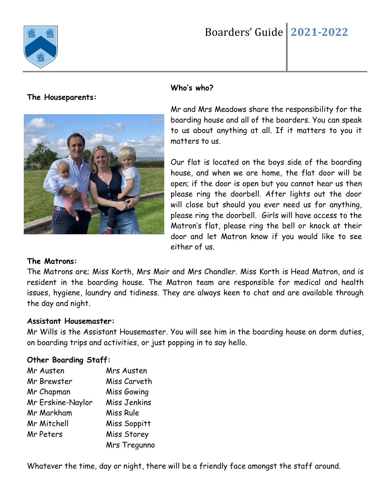

# Boarders' Guide **2021-2022**

#### **The Houseparents:**



#### **Who's who?**

Mr and Mrs Meadows share the responsibility for the boarding house and all of the boarders. You can speak to us about anything at all. If it matters to you it matters to us.

Our flat is located on the boys side of the boarding house, and when we are home, the flat door will be open; if the door is open but you cannot hear us then please ring the doorbell. After lights out the door will close but should you ever need us for anything, please ring the doorbell. Girls will have access to the Matron's flat, please ring the bell or knock at their door and let Matron know if you would like to see either of us.

#### **The Matrons:**

The Matrons are; Miss Korth, Mrs Mair and Mrs Chandler. Miss Korth is Head Matron, and is resident in the boarding house. The Matron team are responsible for medical and health issues, hygiene, laundry and tidiness. They are always keen to chat and are available through the day and night.

#### **Assistant Housemaster:**

Mr Wills is the Assistant Housemaster. You will see him in the boarding house on dorm duties, on boarding trips and activities, or just popping in to say hello.

#### **Other Boarding Staff:**

| Mr Austen         | Mrs Austen   |
|-------------------|--------------|
| Mr Brewster       | Miss Carveth |
| Mr Chapman        | Miss Gowing  |
| Mr Erskine-Naylor | Miss Jenkins |
| Mr Markham        | Miss Rule    |
| Mr Mitchell       | Miss Soppitt |
| Mr Peters         | Miss Storey  |
|                   | Mrs Tregunno |

Whatever the time, day or night, there will be a friendly face amongst the staff around.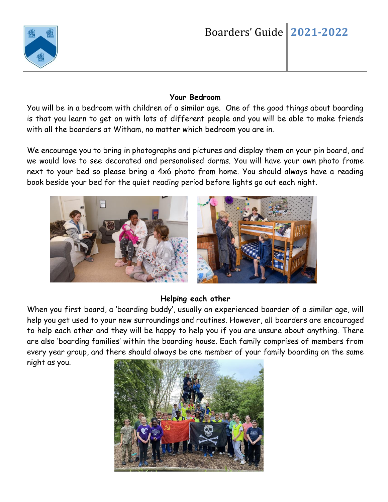

### **Your Bedroom**

You will be in a bedroom with children of a similar age. One of the good things about boarding is that you learn to get on with lots of different people and you will be able to make friends with all the boarders at Witham, no matter which bedroom you are in.

We encourage you to bring in photographs and pictures and display them on your pin board, and we would love to see decorated and personalised dorms. You will have your own photo frame next to your bed so please bring a 4x6 photo from home. You should always have a reading book beside your bed for the quiet reading period before lights go out each night.



## **Helping each other**

When you first board, a 'boarding buddy', usually an experienced boarder of a similar age, will help you get used to your new surroundings and routines. However, all boarders are encouraged to help each other and they will be happy to help you if you are unsure about anything. There are also 'boarding families' within the boarding house. Each family comprises of members from every year group, and there should always be one member of your family boarding on the same night as you.

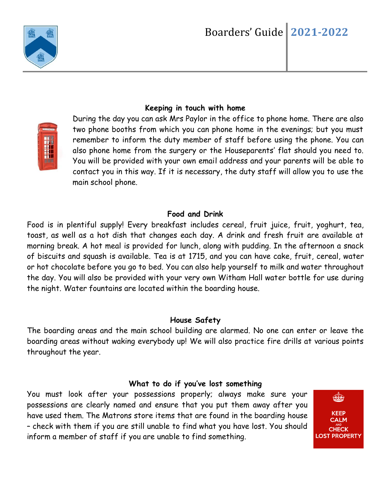



# **Keeping in touch with home**

During the day you can ask Mrs Paylor in the office to phone home. There are also two phone booths from which you can phone home in the evenings; but you must remember to inform the duty member of staff before using the phone. You can also phone home from the surgery or the Houseparents' flat should you need to. You will be provided with your own email address and your parents will be able to contact you in this way. If it is necessary, the duty staff will allow you to use the main school phone.

#### **Food and Drink**

Food is in plentiful supply! Every breakfast includes cereal, fruit juice, fruit, yoghurt, tea, toast, as well as a hot dish that changes each day. A drink and fresh fruit are available at morning break. A hot meal is provided for lunch, along with pudding. In the afternoon a snack of biscuits and squash is available. Tea is at 1715, and you can have cake, fruit, cereal, water or hot chocolate before you go to bed. You can also help yourself to milk and water throughout the day. You will also be provided with your very own Witham Hall water bottle for use during the night. Water fountains are located within the boarding house.

#### **House Safety**

The boarding areas and the main school building are alarmed. No one can enter or leave the boarding areas without waking everybody up! We will also practice fire drills at various points throughout the year.

## **What to do if you've lost something**

You must look after your possessions properly; always make sure your possessions are clearly named and ensure that you put them away after you have used them. The Matrons store items that are found in the boarding house – check with them if you are still unable to find what you have lost. You should inform a member of staff if you are unable to find something.

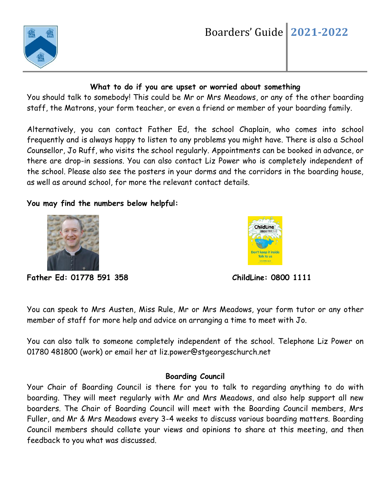

## **What to do if you are upset or worried about something**

You should talk to somebody! This could be Mr or Mrs Meadows, or any of the other boarding staff, the Matrons, your form teacher, or even a friend or member of your boarding family.

Alternatively, you can contact Father Ed, the school Chaplain, who comes into school frequently and is always happy to listen to any problems you might have. There is also a School Counsellor, Jo Ruff, who visits the school regularly. Appointments can be booked in advance, or there are drop-in sessions. You can also contact Liz Power who is completely independent of the school. Please also see the posters in your dorms and the corridors in the boarding house, as well as around school, for more the relevant contact details.

# **You may find the numbers below helpful:**





**Father Ed: 01778 591 358 ChildLine: 0800 1111** 

You can speak to Mrs Austen, Miss Rule, Mr or Mrs Meadows, your form tutor or any other member of staff for more help and advice on arranging a time to meet with Jo.

You can also talk to someone completely independent of the school. Telephone Liz Power on 01780 481800 (work) or email her at liz.power@stgeorgeschurch.net

## **Boarding Council**

Your Chair of Boarding Council is there for you to talk to regarding anything to do with boarding. They will meet regularly with Mr and Mrs Meadows, and also help support all new boarders. The Chair of Boarding Council will meet with the Boarding Council members, Mrs Fuller, and Mr & Mrs Meadows every 3-4 weeks to discuss various boarding matters. Boarding Council members should collate your views and opinions to share at this meeting, and then feedback to you what was discussed.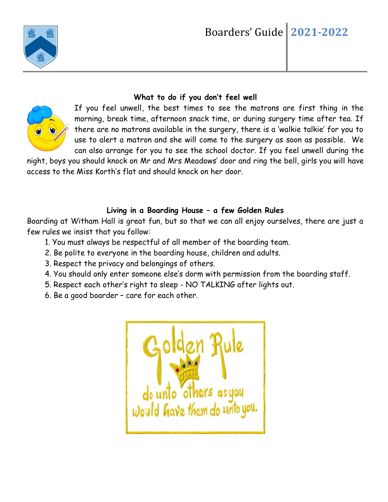

# **What to do if you don't feel well**

If you feel unwell, the best times to see the matrons are first thing in the morning, break time, afternoon snack time, or during surgery time after tea. If there are no matrons available in the surgery, there is a 'walkie talkie' for you to use to alert a matron and she will come to the surgery as soon as possible. We can also arrange for you to see the school doctor. If you feel unwell during the

night, boys you should knock on Mr and Mrs Meadows' door and ring the bell, girls you will have access to the Miss Korth's flat and should knock on her door.

# **Living in a Boarding House – a few Golden Rules**

Boarding at Witham Hall is great fun, but so that we can all enjoy ourselves, there are just a few rules we insist that you follow:

- 1. You must always be respectful of all member of the boarding team.
- 2. Be polite to everyone in the boarding house, children and adults.
- 3. Respect the privacy and belongings of others.
- 4. You should only enter someone else's dorm with permission from the boarding staff.
- 5. Respect each other's right to sleep NO TALKING after lights out.
- 6. Be a good boarder care for each other.

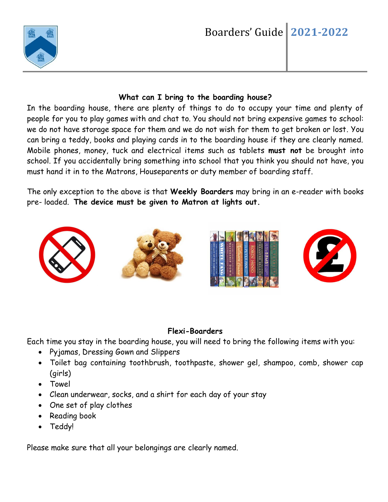

## **What can I bring to the boarding house?**

In the boarding house, there are plenty of things to do to occupy your time and plenty of people for you to play games with and chat to. You should not bring expensive games to school: we do not have storage space for them and we do not wish for them to get broken or lost. You can bring a teddy, books and playing cards in to the boarding house if they are clearly named. Mobile phones, money, tuck and electrical items such as tablets **must not** be brought into school. If you accidentally bring something into school that you think you should not have, you must hand it in to the Matrons, Houseparents or duty member of boarding staff.

The only exception to the above is that **Weekly Boarders** may bring in an e-reader with books pre- loaded. **The device must be given to Matron at lights out.**



# **Flexi-Boarders**

Each time you stay in the boarding house, you will need to bring the following items with you:

- Pyjamas, Dressing Gown and Slippers
- Toilet bag containing toothbrush, toothpaste, shower gel, shampoo, comb, shower cap (girls)
- Towel
- Clean underwear, socks, and a shirt for each day of your stay
- One set of play clothes
- Reading book
- Teddy!

Please make sure that all your belongings are clearly named.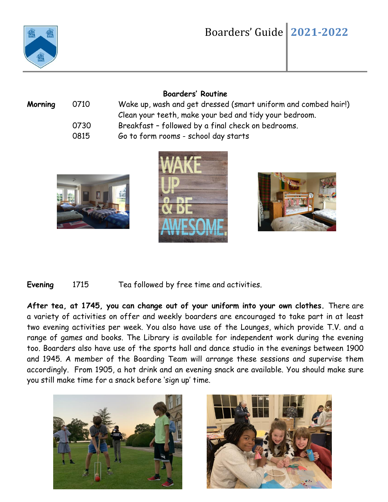

# Boarders' Guide **2021-2022**

### **Boarders' Routine**

| Morning | 0710 | Wake up, wash and get dressed (smart uniform and combed hair!) |
|---------|------|----------------------------------------------------------------|
|         |      | Clean your teeth, make your bed and tidy your bedroom.         |
|         | 0730 | Breakfast - followed by a final check on bedrooms.             |
|         | 0815 | Go to form rooms - school day starts                           |
|         |      |                                                                |







**Evening** 1715 Tea followed by free time and activities.

**After tea, at 1745, you can change out of your uniform into your own clothes.** There are a variety of activities on offer and weekly boarders are encouraged to take part in at least two evening activities per week. You also have use of the Lounges, which provide T.V. and a range of games and books. The Library is available for independent work during the evening too. Boarders also have use of the sports hall and dance studio in the evenings between 1900 and 1945. A member of the Boarding Team will arrange these sessions and supervise them accordingly. From 1905, a hot drink and an evening snack are available. You should make sure you still make time for a snack before 'sign up' time.



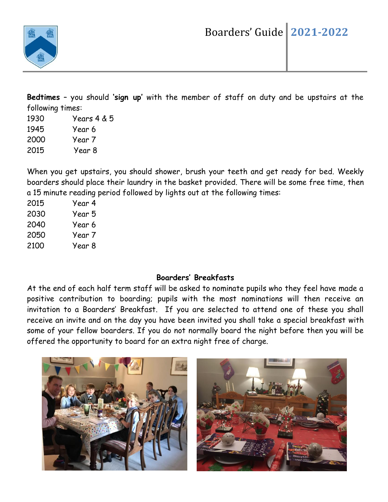

**Bedtimes** – you should **'sign up'** with the member of staff on duty and be upstairs at the following times:

1930 Years 4 & 5 1945 Year 6 2000 Year 7 2015 Year 8

When you get upstairs, you should shower, brush your teeth and get ready for bed. Weekly boarders should place their laundry in the basket provided. There will be some free time, then a 15 minute reading period followed by lights out at the following times:

| 2015 | Year 4 |
|------|--------|
| 2030 | Year 5 |
| 2040 | Year 6 |
| 2050 | Year 7 |
| 2100 | Year 8 |

# **Boarders' Breakfasts**

At the end of each half term staff will be asked to nominate pupils who they feel have made a positive contribution to boarding; pupils with the most nominations will then receive an invitation to a Boarders' Breakfast. If you are selected to attend one of these you shall receive an invite and on the day you have been invited you shall take a special breakfast with some of your fellow boarders. If you do not normally board the night before then you will be offered the opportunity to board for an extra night free of charge.